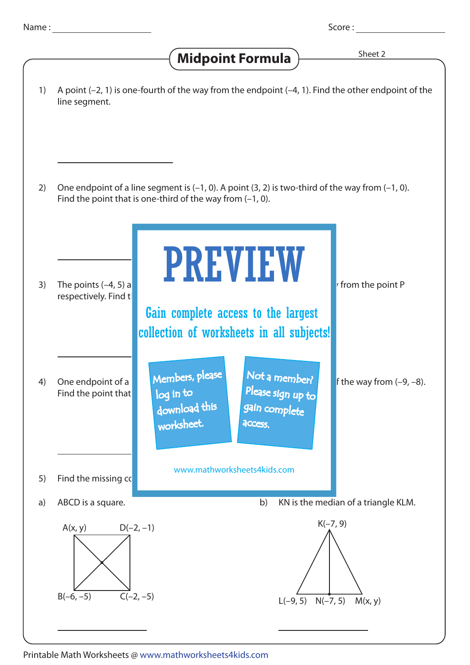## A point (–2, 1) is one-fourth of the way from the endpoint (–4, 1). Find the other endpoint of the line segment. 1) One endpoint of a line segment is  $(-1, 0)$ . A point  $(3, 2)$  is two-third of the way from  $(-1, 0)$ . Find the point that is one-third of the way from (–1, 0). 2) The points  $(-4, 5)$  and  $(2, 4)$  are  $\blacksquare$ respectively. Find t 3) One endpoint of a **complete**  $\blacksquare$  is the sequent is one- endpoint (–9, –8). Find the point that 4) 5) Find the missing  $cc$  $A(x, y)$  $B(-6, -5)$   $C(-2, -5)$  $D(-2, -1)$  K(-7, 9) L(-9, 5) N(-7, 5) M(x, y) a) ABCD is a square. **b**) KN is the median of a triangle KLM. **Midpoint Formula**  $\frac{\text{Sheet 2}}{\text{Sheet 2}}$ PREVIEW www.mathworksheets4kids.com Members, please download this worksheet. log in to Not a member? gain complete Please sign up to **access** Gain complete access to the largest collection of worksheets in all subjects!

Printable Math Worksheets @ www.mathworksheets4kids.com